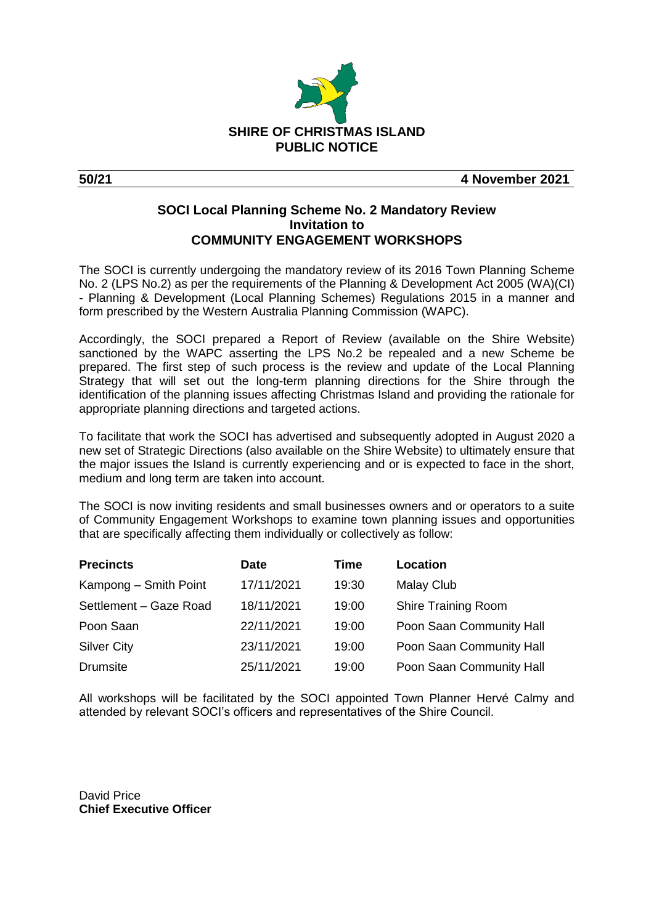

**50/21 4 November 2021**

## **SOCI Local Planning Scheme No. 2 Mandatory Review Invitation to COMMUNITY ENGAGEMENT WORKSHOPS**

The SOCI is currently undergoing the mandatory review of its 2016 Town Planning Scheme No. 2 (LPS No.2) as per the requirements of the Planning & Development Act 2005 (WA)(CI) - Planning & Development (Local Planning Schemes) Regulations 2015 in a manner and form prescribed by the Western Australia Planning Commission (WAPC).

Accordingly, the SOCI prepared a Report of Review (available on the Shire Website) sanctioned by the WAPC asserting the LPS No.2 be repealed and a new Scheme be prepared. The first step of such process is the review and update of the Local Planning Strategy that will set out the long-term planning directions for the Shire through the identification of the planning issues affecting Christmas Island and providing the rationale for appropriate planning directions and targeted actions.

To facilitate that work the SOCI has advertised and subsequently adopted in August 2020 a new set of Strategic Directions (also available on the Shire Website) to ultimately ensure that the major issues the Island is currently experiencing and or is expected to face in the short, medium and long term are taken into account.

The SOCI is now inviting residents and small businesses owners and or operators to a suite of Community Engagement Workshops to examine town planning issues and opportunities that are specifically affecting them individually or collectively as follow:

| <b>Precincts</b>       | <b>Date</b> | Time  | Location                   |
|------------------------|-------------|-------|----------------------------|
| Kampong - Smith Point  | 17/11/2021  | 19:30 | <b>Malay Club</b>          |
| Settlement - Gaze Road | 18/11/2021  | 19:00 | <b>Shire Training Room</b> |
| Poon Saan              | 22/11/2021  | 19:00 | Poon Saan Community Hall   |
| <b>Silver City</b>     | 23/11/2021  | 19:00 | Poon Saan Community Hall   |
| <b>Drumsite</b>        | 25/11/2021  | 19:00 | Poon Saan Community Hall   |

All workshops will be facilitated by the SOCI appointed Town Planner Hervé Calmy and attended by relevant SOCI's officers and representatives of the Shire Council.

David Price **Chief Executive Officer**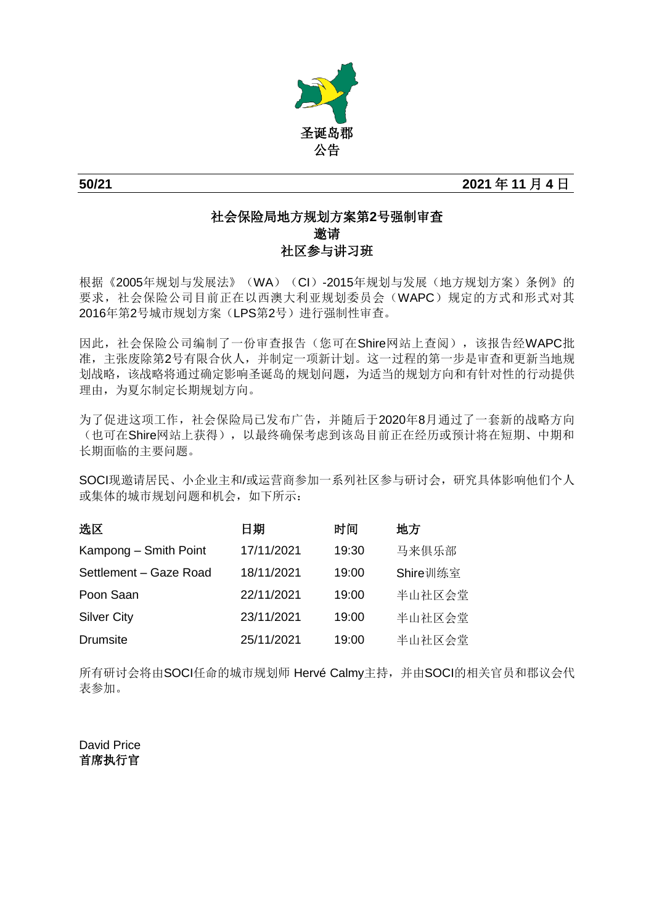

**50/21 2021** 年 **11** 月 **4** 日

## 社会保险局地方规划方案第**2**号强制审查 邀请 社区参与讲习班

根据《2005年规划与发展法》(WA)(CI)-2015年规划与发展(地方规划方案)条例》的 要求,社会保险公司目前正在以西澳大利亚规划委员会(WAPC)规定的方式和形式对其 2016年第2号城市规划方案(LPS第2号)进行强制性审查。

因此,社会保险公司编制了一份审查报告(您可在Shire网站上查阅),该报告经WAPC批 准,主张废除第2号有限合伙人,并制定一项新计划。这一过程的第一步是审查和更新当地规 划战略,该战略将通过确定影响圣诞岛的规划问题,为适当的规划方向和有针对性的行动提供 理由,为夏尔制定长期规划方向。

为了促进这项工作,社会保险局已发布广告,并随后于2020年8月通过了一套新的战略方向 (也可在Shire网站上获得),以最终确保考虑到该岛目前正在经历或预计将在短期、中期和 长期面临的主要问题。

SOCI现邀请居民、小企业主和/或运营商参加一系列社区参与研讨会,研究具体影响他们个人 或集体的城市规划问题和机会,如下所示:

| 选区                     | 日期         | 时间    | 地方       |
|------------------------|------------|-------|----------|
| Kampong - Smith Point  | 17/11/2021 | 19:30 | 马来俱乐部    |
| Settlement - Gaze Road | 18/11/2021 | 19:00 | Shire训练室 |
| Poon Saan              | 22/11/2021 | 19:00 | 半山社区会堂   |
| <b>Silver City</b>     | 23/11/2021 | 19:00 | 半山社区会堂   |
| <b>Drumsite</b>        | 25/11/2021 | 19:00 | 半山社区会堂   |

所有研讨会将由SOCI任命的城市规划师 Hervé Calmy主持,并由SOCI的相关官员和郡议会代 表参加。

David Price 首席执行官